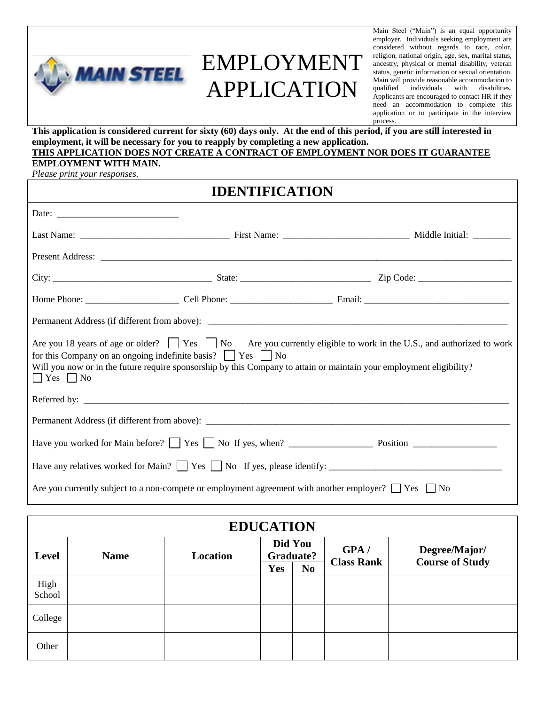

# EMPLOYMENT APPLICATION

Main Steel ("Main") is an equal opportunity employer. Individuals seeking employment are considered without regards to race, color, religion, national origin, age, sex, marital status, ancestry, physical or mental disability, veteran status, genetic information or sexual orientation. Main will provide reasonable accommodation to qualified individuals with disabilities. Applicants are encouraged to contact HR if they need an accommodation to complete this application or to participate in the interview process.

**This application is considered current for sixty (60) days only. At the end of this period, if you are still interested in employment, it will be necessary for you to reapply by completing a new application. THIS APPLICATION DOES NOT CREATE A CONTRACT OF EMPLOYMENT NOR DOES IT GUARANTEE** 

#### **EMPLOYMENT WITH MAIN.**

*Please print your responses.*

## **IDENTIFICATION** Date: Last Name: \_\_\_\_\_\_\_\_\_\_\_\_\_\_\_\_\_\_\_\_\_\_\_\_\_\_\_\_\_\_\_\_ First Name: \_\_\_\_\_\_\_\_\_\_\_\_\_\_\_\_\_\_\_\_\_\_\_\_\_\_\_ Middle Initial: \_\_\_\_\_\_\_\_ Present Address: \_\_\_\_\_\_\_\_\_\_\_\_\_\_\_\_\_\_\_\_\_\_\_\_\_\_\_\_\_\_\_\_\_\_\_\_\_\_\_\_\_\_\_\_\_\_\_\_\_\_\_\_\_\_\_\_\_\_\_\_\_\_\_\_\_\_\_\_\_\_\_\_\_\_\_\_\_\_\_\_\_\_\_\_\_\_\_\_ City: \_\_\_\_\_\_\_\_\_\_\_\_\_\_\_\_\_\_\_\_\_\_\_\_\_\_\_\_\_\_\_\_\_\_ State: \_\_\_\_\_\_\_\_\_\_\_\_\_\_\_\_\_\_\_\_\_\_\_\_\_\_\_\_ Zip Code: \_\_\_\_\_\_\_\_\_\_\_\_\_\_\_\_\_\_\_\_ Home Phone: Cell Phone: Email:  $\Box$ Permanent Address (if different from above): Are you 18 years of age or older?  $\Box$  Yes  $\Box$  No Are you currently eligible to work in the U.S., and authorized to work for this Company on an ongoing indefinite basis?  $\vert \cdot \vert$  Yes  $\vert \cdot \vert$  No Will you now or in the future require sponsorship by this Company to attain or maintain your employment eligibility?  $\Box$  Yes  $\Box$  No Referred by: \_\_\_\_\_\_\_\_\_\_\_\_\_\_\_\_\_\_\_\_\_\_\_\_\_\_\_\_\_\_\_\_\_\_\_\_\_\_\_\_\_\_\_\_\_\_\_\_\_\_\_\_\_\_\_\_\_\_\_\_\_\_\_\_\_\_\_\_\_\_\_\_\_\_\_\_\_\_\_\_\_\_\_\_\_\_\_\_\_\_\_ Permanent Address (if different from above): Have you worked for Main before? Yes No If yes, when? \_\_\_\_\_\_\_\_\_\_\_\_\_\_\_\_\_\_ Position \_\_\_\_\_\_\_\_\_\_\_\_\_\_\_\_\_\_ Have any relatives worked for Main?  $\Box$  Yes  $\Box$  No If yes, please identify: Are you currently subject to a non-compete or employment agreement with another employer?  $\Box$  Yes  $\Box$  No

| <b>EDUCATION</b> |             |          |                      |                |                   |                                         |  |  |
|------------------|-------------|----------|----------------------|----------------|-------------------|-----------------------------------------|--|--|
| <b>Level</b>     | <b>Name</b> | Location | Did You<br>Graduate? |                | GPA/              | <b>Degree/Major/</b><br>Course of Study |  |  |
|                  |             |          | <b>Yes</b>           | N <sub>0</sub> | <b>Class Rank</b> |                                         |  |  |
| High<br>School   |             |          |                      |                |                   |                                         |  |  |
| College          |             |          |                      |                |                   |                                         |  |  |
| Other            |             |          |                      |                |                   |                                         |  |  |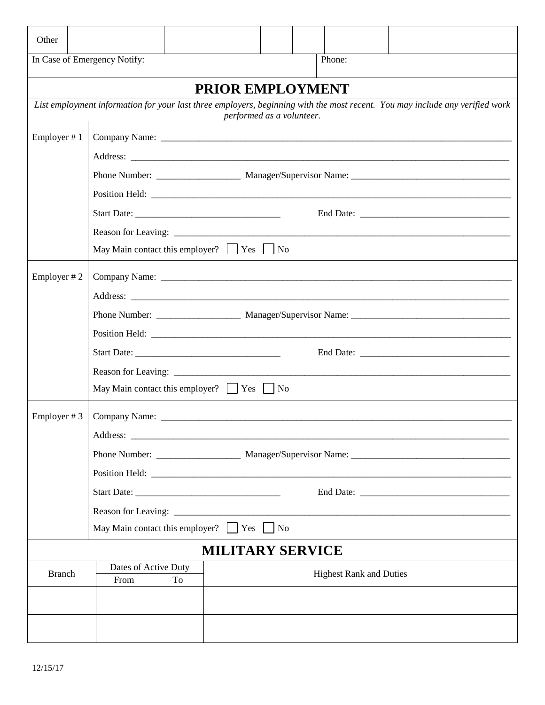| Other                                                |                                                      |                                               |                           |  |  |                                |                                                                                                                              |  |  |
|------------------------------------------------------|------------------------------------------------------|-----------------------------------------------|---------------------------|--|--|--------------------------------|------------------------------------------------------------------------------------------------------------------------------|--|--|
|                                                      | In Case of Emergency Notify:                         |                                               |                           |  |  | Phone:                         |                                                                                                                              |  |  |
|                                                      |                                                      |                                               | PRIOR EMPLOYMENT          |  |  |                                |                                                                                                                              |  |  |
|                                                      |                                                      | <u> 1980 - Jan Samuel Barbara, poeta esta</u> | performed as a volunteer. |  |  |                                | List employment information for your last three employers, beginning with the most recent. You may include any verified work |  |  |
| Employer #1                                          |                                                      |                                               |                           |  |  |                                |                                                                                                                              |  |  |
|                                                      |                                                      |                                               |                           |  |  |                                |                                                                                                                              |  |  |
|                                                      |                                                      |                                               |                           |  |  |                                |                                                                                                                              |  |  |
|                                                      |                                                      |                                               |                           |  |  |                                |                                                                                                                              |  |  |
|                                                      |                                                      |                                               |                           |  |  |                                |                                                                                                                              |  |  |
|                                                      |                                                      |                                               |                           |  |  |                                |                                                                                                                              |  |  |
|                                                      | May Main contact this employer? $\Box$ Yes $\Box$ No |                                               |                           |  |  |                                |                                                                                                                              |  |  |
| Employer #2                                          |                                                      |                                               |                           |  |  |                                |                                                                                                                              |  |  |
|                                                      |                                                      |                                               |                           |  |  |                                |                                                                                                                              |  |  |
|                                                      |                                                      |                                               |                           |  |  |                                |                                                                                                                              |  |  |
|                                                      |                                                      |                                               |                           |  |  |                                |                                                                                                                              |  |  |
|                                                      |                                                      |                                               |                           |  |  |                                |                                                                                                                              |  |  |
|                                                      |                                                      |                                               |                           |  |  |                                |                                                                                                                              |  |  |
|                                                      | May Main contact this employer? $\Box$ Yes $\Box$ No |                                               |                           |  |  |                                |                                                                                                                              |  |  |
| Employer $# 3$                                       |                                                      |                                               |                           |  |  |                                |                                                                                                                              |  |  |
|                                                      |                                                      |                                               |                           |  |  |                                |                                                                                                                              |  |  |
|                                                      |                                                      |                                               |                           |  |  |                                |                                                                                                                              |  |  |
|                                                      |                                                      |                                               |                           |  |  |                                |                                                                                                                              |  |  |
|                                                      |                                                      |                                               |                           |  |  |                                |                                                                                                                              |  |  |
|                                                      |                                                      |                                               |                           |  |  |                                |                                                                                                                              |  |  |
| May Main contact this employer? $\Box$ Yes $\Box$ No |                                                      |                                               |                           |  |  |                                |                                                                                                                              |  |  |
|                                                      |                                                      |                                               | <b>MILITARY SERVICE</b>   |  |  |                                |                                                                                                                              |  |  |
| <b>Branch</b>                                        | Dates of Active Duty<br>From                         | To                                            |                           |  |  | <b>Highest Rank and Duties</b> |                                                                                                                              |  |  |
|                                                      |                                                      |                                               |                           |  |  |                                |                                                                                                                              |  |  |
|                                                      |                                                      |                                               |                           |  |  |                                |                                                                                                                              |  |  |
|                                                      |                                                      |                                               |                           |  |  |                                |                                                                                                                              |  |  |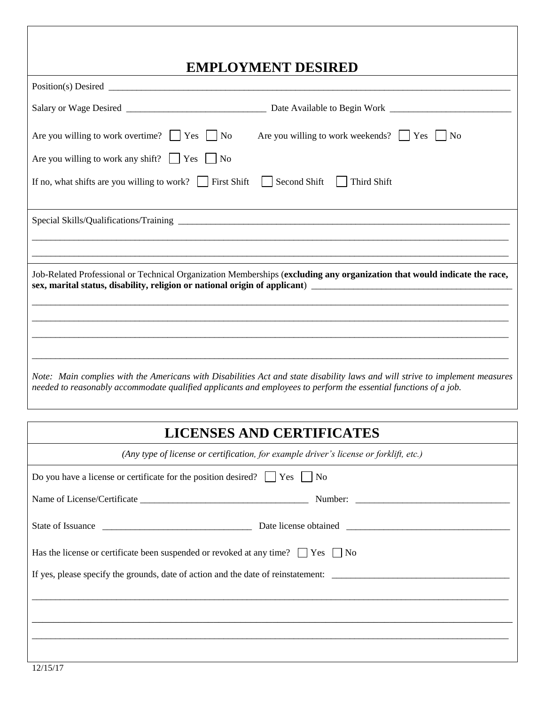### **EMPLOYMENT DESIRED**

| EMILLO LIMENT DESINED                                                                                                                                                                                                                            |  |  |  |  |  |
|--------------------------------------------------------------------------------------------------------------------------------------------------------------------------------------------------------------------------------------------------|--|--|--|--|--|
|                                                                                                                                                                                                                                                  |  |  |  |  |  |
|                                                                                                                                                                                                                                                  |  |  |  |  |  |
| Are you willing to work overtime? $\Box$ Yes $\Box$ No Are you willing to work weekends? $\Box$ Yes $\Box$ No                                                                                                                                    |  |  |  |  |  |
| Are you willing to work any shift? $\Box$ Yes $\Box$ No                                                                                                                                                                                          |  |  |  |  |  |
| Second Shift   Third Shift<br>If no, what shifts are you willing to work? $\Box$ First Shift<br>$\mathbf{I}$                                                                                                                                     |  |  |  |  |  |
|                                                                                                                                                                                                                                                  |  |  |  |  |  |
|                                                                                                                                                                                                                                                  |  |  |  |  |  |
| Job-Related Professional or Technical Organization Memberships (excluding any organization that would indicate the race,                                                                                                                         |  |  |  |  |  |
|                                                                                                                                                                                                                                                  |  |  |  |  |  |
|                                                                                                                                                                                                                                                  |  |  |  |  |  |
|                                                                                                                                                                                                                                                  |  |  |  |  |  |
| Note: Main complies with the Americans with Disabilities Act and state disability laws and will strive to implement measures<br>needed to reasonably accommodate qualified applicants and employees to perform the essential functions of a job. |  |  |  |  |  |

### **LICENSES AND CERTIFICATES**

| (Any type of license or certification, for example driver's license or forklift, etc.)            |  |  |  |  |  |
|---------------------------------------------------------------------------------------------------|--|--|--|--|--|
| Do you have a license or certificate for the position desired? $\vert \vert$ Yes $\vert \vert$ No |  |  |  |  |  |
|                                                                                                   |  |  |  |  |  |
|                                                                                                   |  |  |  |  |  |
| Has the license or certificate been suspended or revoked at any time? $\Box$ Yes $\Box$ No        |  |  |  |  |  |
| If yes, please specify the grounds, date of action and the date of reinstatement:                 |  |  |  |  |  |
|                                                                                                   |  |  |  |  |  |
|                                                                                                   |  |  |  |  |  |
|                                                                                                   |  |  |  |  |  |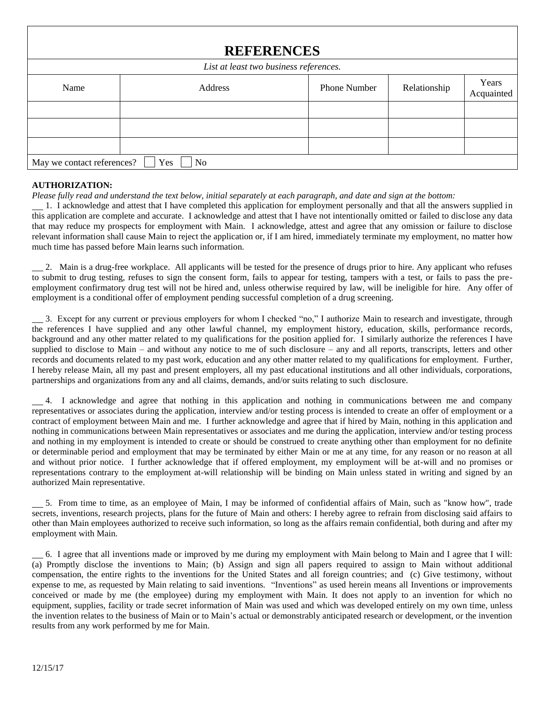| <b>REFERENCES</b>                      |                       |                     |              |                     |  |  |  |
|----------------------------------------|-----------------------|---------------------|--------------|---------------------|--|--|--|
| List at least two business references. |                       |                     |              |                     |  |  |  |
| Name                                   | Address               | <b>Phone Number</b> | Relationship | Years<br>Acquainted |  |  |  |
|                                        |                       |                     |              |                     |  |  |  |
|                                        |                       |                     |              |                     |  |  |  |
|                                        |                       |                     |              |                     |  |  |  |
| May we contact references?             | Yes<br>N <sub>o</sub> |                     |              |                     |  |  |  |

#### **AUTHORIZATION:**

*Please fully read and understand the text below, initial separately at each paragraph, and date and sign at the bottom:*

1. I acknowledge and attest that I have completed this application for employment personally and that all the answers supplied in this application are complete and accurate. I acknowledge and attest that I have not intentionally omitted or failed to disclose any data that may reduce my prospects for employment with Main. I acknowledge, attest and agree that any omission or failure to disclose relevant information shall cause Main to reject the application or, if I am hired, immediately terminate my employment, no matter how much time has passed before Main learns such information.

2. Main is a drug-free workplace. All applicants will be tested for the presence of drugs prior to hire. Any applicant who refuses to submit to drug testing, refuses to sign the consent form, fails to appear for testing, tampers with a test, or fails to pass the preemployment confirmatory drug test will not be hired and, unless otherwise required by law, will be ineligible for hire. Any offer of employment is a conditional offer of employment pending successful completion of a drug screening.

3. Except for any current or previous employers for whom I checked "no," I authorize Main to research and investigate, through the references I have supplied and any other lawful channel, my employment history, education, skills, performance records, background and any other matter related to my qualifications for the position applied for. I similarly authorize the references I have supplied to disclose to Main – and without any notice to me of such disclosure – any and all reports, transcripts, letters and other records and documents related to my past work, education and any other matter related to my qualifications for employment. Further, I hereby release Main, all my past and present employers, all my past educational institutions and all other individuals, corporations, partnerships and organizations from any and all claims, demands, and/or suits relating to such disclosure.

4. I acknowledge and agree that nothing in this application and nothing in communications between me and company representatives or associates during the application, interview and/or testing process is intended to create an offer of employment or a contract of employment between Main and me. I further acknowledge and agree that if hired by Main, nothing in this application and nothing in communications between Main representatives or associates and me during the application, interview and/or testing process and nothing in my employment is intended to create or should be construed to create anything other than employment for no definite or determinable period and employment that may be terminated by either Main or me at any time, for any reason or no reason at all and without prior notice. I further acknowledge that if offered employment, my employment will be at-will and no promises or representations contrary to the employment at-will relationship will be binding on Main unless stated in writing and signed by an authorized Main representative.

5. From time to time, as an employee of Main, I may be informed of confidential affairs of Main, such as "know how", trade secrets, inventions, research projects, plans for the future of Main and others: I hereby agree to refrain from disclosing said affairs to other than Main employees authorized to receive such information, so long as the affairs remain confidential, both during and after my employment with Main.

6. I agree that all inventions made or improved by me during my employment with Main belong to Main and I agree that I will: (a) Promptly disclose the inventions to Main; (b) Assign and sign all papers required to assign to Main without additional compensation, the entire rights to the inventions for the United States and all foreign countries; and (c) Give testimony, without expense to me, as requested by Main relating to said inventions. "Inventions" as used herein means all Inventions or improvements conceived or made by me (the employee) during my employment with Main. It does not apply to an invention for which no equipment, supplies, facility or trade secret information of Main was used and which was developed entirely on my own time, unless the invention relates to the business of Main or to Main's actual or demonstrably anticipated research or development, or the invention results from any work performed by me for Main.